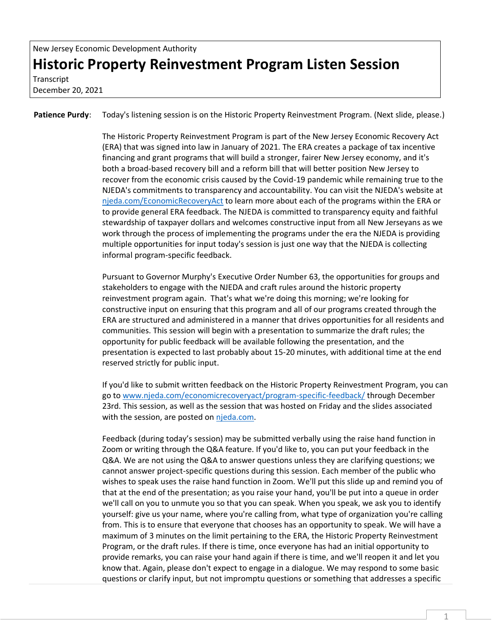**Transcript** December 20, 2021

Patience Purdy: Today's listening session is on the Historic Property Reinvestment Program. (Next slide, please.)

The Historic Property Reinvestment Program is part of the New Jersey Economic Recovery Act (ERA) that was signed into law in January of 2021. The ERA creates a package of tax incentive financing and grant programs that will build a stronger, fairer New Jersey economy, and it's both a broad-based recovery bill and a reform bill that will better position New Jersey to recover from the economic crisis caused by the Covid-19 pandemic while remaining true to the NJEDA's commitments to transparency and accountability. You can visit the NJEDA's website at [njeda.com/EconomicRecoveryAct](https://www.njeda.com/EconomicRecoveryAct/) to learn more about each of the programs within the ERA or to provide general ERA feedback. The NJEDA is committed to transparency equity and faithful stewardship of taxpayer dollars and welcomes constructive input from all New Jerseyans as we work through the process of implementing the programs under the era the NJEDA is providing multiple opportunities for input today's session is just one way that the NJEDA is collecting informal program-specific feedback.

Pursuant to Governor Murphy's Executive Order Number 63, the opportunities for groups and stakeholders to engage with the NJEDA and craft rules around the historic property reinvestment program again. That's what we're doing this morning; we're looking for constructive input on ensuring that this program and all of our programs created through the ERA are structured and administered in a manner that drives opportunities for all residents and communities. This session will begin with a presentation to summarize the draft rules; the opportunity for public feedback will be available following the presentation, and the presentation is expected to last probably about 15-20 minutes, with additional time at the end reserved strictly for public input.

If you'd like to submit written feedback on the Historic Property Reinvestment Program, you can go t[o www.njeda.com/economicrecoveryact/program-specific-feedback/](http://www.njeda.com/economicrecoveryact/program-specific-feedback/) through December 23rd. This session, as well as the session that was hosted on Friday and the slides associated with the session, are posted on [njeda.com.](http://www.njeda.com/)

Feedback (during today's session) may be submitted verbally using the raise hand function in Zoom or writing through the Q&A feature. If you'd like to, you can put your feedback in the Q&A. We are not using the Q&A to answer questions unless they are clarifying questions; we cannot answer project-specific questions during this session. Each member of the public who wishes to speak uses the raise hand function in Zoom. We'll put this slide up and remind you of that at the end of the presentation; as you raise your hand, you'll be put into a queue in order we'll call on you to unmute you so that you can speak. When you speak, we ask you to identify yourself: give us your name, where you're calling from, what type of organization you're calling from. This is to ensure that everyone that chooses has an opportunity to speak. We will have a maximum of 3 minutes on the limit pertaining to the ERA, the Historic Property Reinvestment Program, or the draft rules. If there is time, once everyone has had an initial opportunity to provide remarks, you can raise your hand again if there is time, and we'll reopen it and let you know that. Again, please don't expect to engage in a dialogue. We may respond to some basic questions or clarify input, but not impromptu questions or something that addresses a specific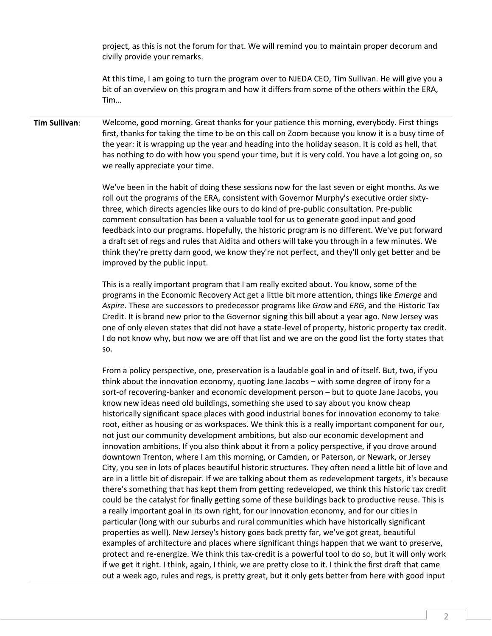project, as this is not the forum for that. We will remind you to maintain proper decorum and civilly provide your remarks.

At this time, I am going to turn the program over to NJEDA CEO, Tim Sullivan. He will give you a bit of an overview on this program and how it differs from some of the others within the ERA, Tim…

## **Tim Sullivan**: Welcome, good morning. Great thanks for your patience this morning, everybody. First things first, thanks for taking the time to be on this call on Zoom because you know it is a busy time of the year: it is wrapping up the year and heading into the holiday season. It is cold as hell, that has nothing to do with how you spend your time, but it is very cold. You have a lot going on, so we really appreciate your time.

We've been in the habit of doing these sessions now for the last seven or eight months. As we roll out the programs of the ERA, consistent with Governor Murphy's executive order sixtythree, which directs agencies like ours to do kind of pre-public consultation. Pre-public comment consultation has been a valuable tool for us to generate good input and good feedback into our programs. Hopefully, the historic program is no different. We've put forward a draft set of regs and rules that Aidita and others will take you through in a few minutes. We think they're pretty darn good, we know they're not perfect, and they'll only get better and be improved by the public input.

This is a really important program that I am really excited about. You know, some of the programs in the Economic Recovery Act get a little bit more attention, things like *Emerge* and *Aspire*. These are successors to predecessor programs like *Grow* and *ERG*, and the Historic Tax Credit. It is brand new prior to the Governor signing this bill about a year ago. New Jersey was one of only eleven states that did not have a state-level of property, historic property tax credit. I do not know why, but now we are off that list and we are on the good list the forty states that so.

From a policy perspective, one, preservation is a laudable goal in and of itself. But, two, if you think about the innovation economy, quoting Jane Jacobs – with some degree of irony for a sort-of recovering-banker and economic development person – but to quote Jane Jacobs, you know new ideas need old buildings, something she used to say about you know cheap historically significant space places with good industrial bones for innovation economy to take root, either as housing or as workspaces. We think this is a really important component for our, not just our community development ambitions, but also our economic development and innovation ambitions. If you also think about it from a policy perspective, if you drove around downtown Trenton, where I am this morning, or Camden, or Paterson, or Newark, or Jersey City, you see in lots of places beautiful historic structures. They often need a little bit of love and are in a little bit of disrepair. If we are talking about them as redevelopment targets, it's because there's something that has kept them from getting redeveloped, we think this historic tax credit could be the catalyst for finally getting some of these buildings back to productive reuse. This is a really important goal in its own right, for our innovation economy, and for our cities in particular (long with our suburbs and rural communities which have historically significant properties as well). New Jersey's history goes back pretty far, we've got great, beautiful examples of architecture and places where significant things happen that we want to preserve, protect and re-energize. We think this tax-credit is a powerful tool to do so, but it will only work if we get it right. I think, again, I think, we are pretty close to it. I think the first draft that came out a week ago, rules and regs, is pretty great, but it only gets better from here with good input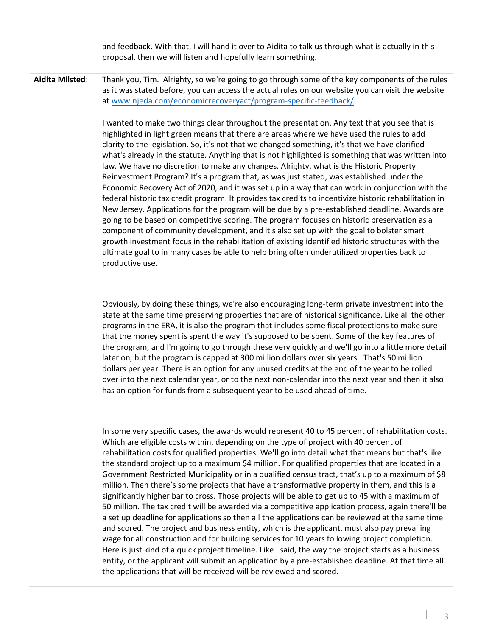and feedback. With that, I will hand it over to Aidita to talk us through what is actually in this proposal, then we will listen and hopefully learn something.

**Aidita Milsted**: Thank you, Tim. Alrighty, so we're going to go through some of the key components of the rules as it was stated before, you can access the actual rules on our website you can visit the website a[t www.njeda.com/economicrecoveryact/program-specific-feedback/.](http://www.njeda.com/economicrecoveryact/program-specific-feedback/)

> I wanted to make two things clear throughout the presentation. Any text that you see that is highlighted in light green means that there are areas where we have used the rules to add clarity to the legislation. So, it's not that we changed something, it's that we have clarified what's already in the statute. Anything that is not highlighted is something that was written into law. We have no discretion to make any changes. Alrighty, what is the Historic Property Reinvestment Program? It's a program that, as was just stated, was established under the Economic Recovery Act of 2020, and it was set up in a way that can work in conjunction with the federal historic tax credit program. It provides tax credits to incentivize historic rehabilitation in New Jersey. Applications for the program will be due by a pre-established deadline. Awards are going to be based on competitive scoring. The program focuses on historic preservation as a component of community development, and it's also set up with the goal to bolster smart growth investment focus in the rehabilitation of existing identified historic structures with the ultimate goal to in many cases be able to help bring often underutilized properties back to productive use.

> Obviously, by doing these things, we're also encouraging long-term private investment into the state at the same time preserving properties that are of historical significance. Like all the other programs in the ERA, it is also the program that includes some fiscal protections to make sure that the money spent is spent the way it's supposed to be spent. Some of the key features of the program, and I'm going to go through these very quickly and we'll go into a little more detail later on, but the program is capped at 300 million dollars over six years. That's 50 million dollars per year. There is an option for any unused credits at the end of the year to be rolled over into the next calendar year, or to the next non-calendar into the next year and then it also has an option for funds from a subsequent year to be used ahead of time.

> In some very specific cases, the awards would represent 40 to 45 percent of rehabilitation costs. Which are eligible costs within, depending on the type of project with 40 percent of rehabilitation costs for qualified properties. We'll go into detail what that means but that's like the standard project up to a maximum \$4 million. For qualified properties that are located in a Government Restricted Municipality or in a qualified census tract, that's up to a maximum of \$8 million. Then there's some projects that have a transformative property in them, and this is a significantly higher bar to cross. Those projects will be able to get up to 45 with a maximum of 50 million. The tax credit will be awarded via a competitive application process, again there'll be a set up deadline for applications so then all the applications can be reviewed at the same time and scored. The project and business entity, which is the applicant, must also pay prevailing wage for all construction and for building services for 10 years following project completion. Here is just kind of a quick project timeline. Like I said, the way the project starts as a business entity, or the applicant will submit an application by a pre-established deadline. At that time all the applications that will be received will be reviewed and scored.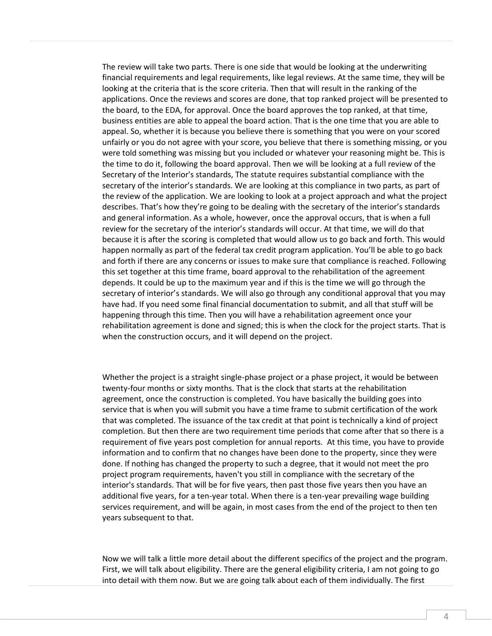The review will take two parts. There is one side that would be looking at the underwriting financial requirements and legal requirements, like legal reviews. At the same time, they will be looking at the criteria that is the score criteria. Then that will result in the ranking of the applications. Once the reviews and scores are done, that top ranked project will be presented to the board, to the EDA, for approval. Once the board approves the top ranked, at that time, business entities are able to appeal the board action. That is the one time that you are able to appeal. So, whether it is because you believe there is something that you were on your scored unfairly or you do not agree with your score, you believe that there is something missing, or you were told something was missing but you included or whatever your reasoning might be. This is the time to do it, following the board approval. Then we will be looking at a full review of the Secretary of the Interior's standards, The statute requires substantial compliance with the secretary of the interior's standards. We are looking at this compliance in two parts, as part of the review of the application. We are looking to look at a project approach and what the project describes. That's how they're going to be dealing with the secretary of the interior's standards and general information. As a whole, however, once the approval occurs, that is when a full review for the secretary of the interior's standards will occur. At that time, we will do that because it is after the scoring is completed that would allow us to go back and forth. This would happen normally as part of the federal tax credit program application. You'll be able to go back and forth if there are any concerns or issues to make sure that compliance is reached. Following this set together at this time frame, board approval to the rehabilitation of the agreement depends. It could be up to the maximum year and if this is the time we will go through the secretary of interior's standards. We will also go through any conditional approval that you may have had. If you need some final financial documentation to submit, and all that stuff will be happening through this time. Then you will have a rehabilitation agreement once your rehabilitation agreement is done and signed; this is when the clock for the project starts. That is when the construction occurs, and it will depend on the project.

Whether the project is a straight single-phase project or a phase project, it would be between twenty-four months or sixty months. That is the clock that starts at the rehabilitation agreement, once the construction is completed. You have basically the building goes into service that is when you will submit you have a time frame to submit certification of the work that was completed. The issuance of the tax credit at that point is technically a kind of project completion. But then there are two requirement time periods that come after that so there is a requirement of five years post completion for annual reports. At this time, you have to provide information and to confirm that no changes have been done to the property, since they were done. If nothing has changed the property to such a degree, that it would not meet the pro project program requirements, haven't you still in compliance with the secretary of the interior's standards. That will be for five years, then past those five years then you have an additional five years, for a ten-year total. When there is a ten-year prevailing wage building services requirement, and will be again, in most cases from the end of the project to then ten years subsequent to that.

Now we will talk a little more detail about the different specifics of the project and the program. First, we will talk about eligibility. There are the general eligibility criteria, I am not going to go into detail with them now. But we are going talk about each of them individually. The first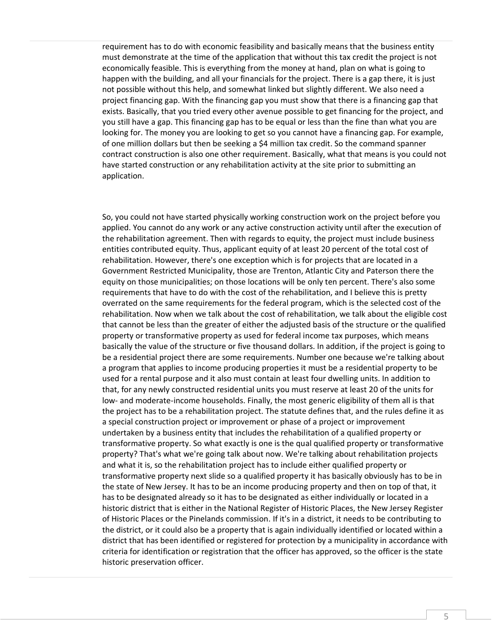requirement has to do with economic feasibility and basically means that the business entity must demonstrate at the time of the application that without this tax credit the project is not economically feasible. This is everything from the money at hand, plan on what is going to happen with the building, and all your financials for the project. There is a gap there, it is just not possible without this help, and somewhat linked but slightly different. We also need a project financing gap. With the financing gap you must show that there is a financing gap that exists. Basically, that you tried every other avenue possible to get financing for the project, and you still have a gap. This financing gap has to be equal or less than the fine than what you are looking for. The money you are looking to get so you cannot have a financing gap. For example, of one million dollars but then be seeking a \$4 million tax credit. So the command spanner contract construction is also one other requirement. Basically, what that means is you could not have started construction or any rehabilitation activity at the site prior to submitting an application.

So, you could not have started physically working construction work on the project before you applied. You cannot do any work or any active construction activity until after the execution of the rehabilitation agreement. Then with regards to equity, the project must include business entities contributed equity. Thus, applicant equity of at least 20 percent of the total cost of rehabilitation. However, there's one exception which is for projects that are located in a Government Restricted Municipality, those are Trenton, Atlantic City and Paterson there the equity on those municipalities; on those locations will be only ten percent. There's also some requirements that have to do with the cost of the rehabilitation, and I believe this is pretty overrated on the same requirements for the federal program, which is the selected cost of the rehabilitation. Now when we talk about the cost of rehabilitation, we talk about the eligible cost that cannot be less than the greater of either the adjusted basis of the structure or the qualified property or transformative property as used for federal income tax purposes, which means basically the value of the structure or five thousand dollars. In addition, if the project is going to be a residential project there are some requirements. Number one because we're talking about a program that applies to income producing properties it must be a residential property to be used for a rental purpose and it also must contain at least four dwelling units. In addition to that, for any newly constructed residential units you must reserve at least 20 of the units for low- and moderate-income households. Finally, the most generic eligibility of them all is that the project has to be a rehabilitation project. The statute defines that, and the rules define it as a special construction project or improvement or phase of a project or improvement undertaken by a business entity that includes the rehabilitation of a qualified property or transformative property. So what exactly is one is the qual qualified property or transformative property? That's what we're going talk about now. We're talking about rehabilitation projects and what it is, so the rehabilitation project has to include either qualified property or transformative property next slide so a qualified property it has basically obviously has to be in the state of New Jersey. It has to be an income producing property and then on top of that, it has to be designated already so it has to be designated as either individually or located in a historic district that is either in the National Register of Historic Places, the New Jersey Register of Historic Places or the Pinelands commission. If it's in a district, it needs to be contributing to the district, or it could also be a property that is again individually identified or located within a district that has been identified or registered for protection by a municipality in accordance with criteria for identification or registration that the officer has approved, so the officer is the state historic preservation officer.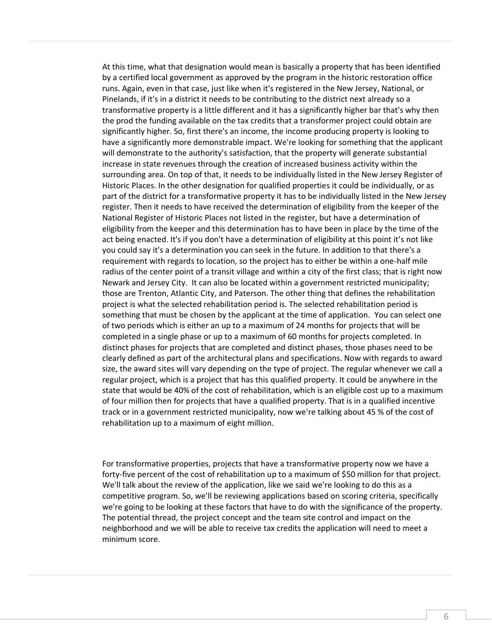At this time, what that designation would mean is basically a property that has been identified by a certified local government as approved by the program in the historic restoration office runs. Again, even in that case, just like when it's registered in the New Jersey, National, or Pinelands, if it's in a district it needs to be contributing to the district next already so a transformative property is a little different and it has a significantly higher bar that's why then the prod the funding available on the tax credits that a transformer project could obtain are significantly higher. So, first there's an income, the income producing property is looking to have a significantly more demonstrable impact. We're looking for something that the applicant will demonstrate to the authority's satisfaction, that the property will generate substantial increase in state revenues through the creation of increased business activity within the surrounding area. On top of that, it needs to be individually listed in the New Jersey Register of Historic Places. In the other designation for qualified properties it could be individually, or as part of the district for a transformative property it has to be individually listed in the New Jersey register. Then it needs to have received the determination of eligibility from the keeper of the National Register of Historic Places not listed in the register, but have a determination of eligibility from the keeper and this determination has to have been in place by the time of the act being enacted. It's if you don't have a determination of eligibility at this point it's not like you could say it's a determination you can seek in the future. In addition to that there's a requirement with regards to location, so the project has to either be within a one-half mile radius of the center point of a transit village and within a city of the first class; that is right now Newark and Jersey City. It can also be located within a government restricted municipality; those are Trenton, Atlantic City, and Paterson. The other thing that defines the rehabilitation project is what the selected rehabilitation period is. The selected rehabilitation period is something that must be chosen by the applicant at the time of application. You can select one of two periods which is either an up to a maximum of 24 months for projects that will be completed in a single phase or up to a maximum of 60 months for projects completed. In distinct phases for projects that are completed and distinct phases, those phases need to be clearly defined as part of the architectural plans and specifications. Now with regards to award size, the award sites will vary depending on the type of project. The regular whenever we call a regular project, which is a project that has this qualified property. It could be anywhere in the state that would be 40% of the cost of rehabilitation, which is an eligible cost up to a maximum of four million then for projects that have a qualified property. That is in a qualified incentive track or in a government restricted municipality, now we're talking about 45 % of the cost of rehabilitation up to a maximum of eight million.

For transformative properties, projects that have a transformative property now we have a forty-five percent of the cost of rehabilitation up to a maximum of \$50 million for that project. We'll talk about the review of the application, like we said we're looking to do this as a competitive program. So, we'll be reviewing applications based on scoring criteria, specifically we're going to be looking at these factors that have to do with the significance of the property. The potential thread, the project concept and the team site control and impact on the neighborhood and we will be able to receive tax credits the application will need to meet a minimum score.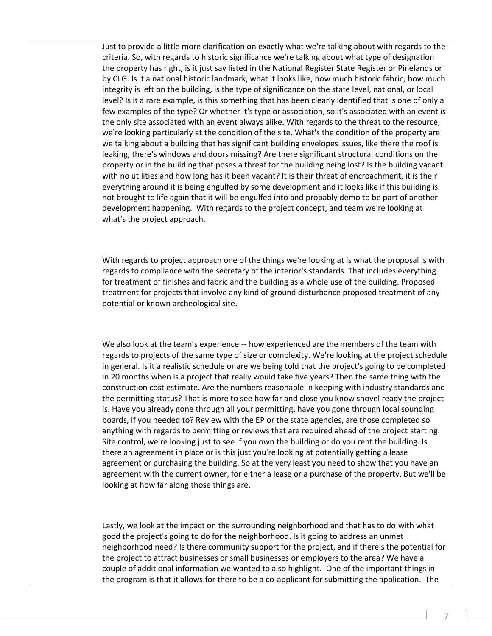Just to provide a little more clarification on exactly what we're talking about with regards to the criteria. So, with regards to historic significance we're talking about what type of designation the property has right, is it just say listed in the National Register State Register or Pinelands or by CLG. Is it a national historic landmark, what it looks like, how much historic fabric, how much integrity is left on the building, is the type of significance on the state level, national, or local level? Is it a rare example, is this something that has been clearly identified that is one of only a few examples of the type? Or whether it's type or association, so it's associated with an event is the only site associated with an event always alike. With regards to the threat to the resource, we're looking particularly at the condition of the site. What's the condition of the property are we talking about a building that has significant building envelopes issues, like there the roof is leaking, there's windows and doors missing? Are there significant structural conditions on the property or in the building that poses a threat for the building being lost? Is the building vacant with no utilities and how long has it been vacant? It is their threat of encroachment, it is their everything around it is being engulfed by some development and it looks like if this building is not brought to life again that it will be engulfed into and probably demo to be part of another development happening. With regards to the project concept, and team we're looking at what's the project approach.

With regards to project approach one of the things we're looking at is what the proposal is with regards to compliance with the secretary of the interior's standards. That includes everything for treatment of finishes and fabric and the building as a whole use of the building. Proposed treatment for projects that involve any kind of ground disturbance proposed treatment of any potential or known archeological site.

We also look at the team's experience -- how experienced are the members of the team with regards to projects of the same type of size or complexity. We're looking at the project schedule in general. Is it a realistic schedule or are we being told that the project's going to be completed in 20 months when is a project that really would take five years? Then the same thing with the construction cost estimate. Are the numbers reasonable in keeping with industry standards and the permitting status? That is more to see how far and close you know shovel ready the project is. Have you already gone through all your permitting, have you gone through local sounding boards, if you needed to? Review with the EP or the state agencies, are those completed so anything with regards to permitting or reviews that are required ahead of the project starting. Site control, we're looking just to see if you own the building or do you rent the building. Is there an agreement in place or is this just you're looking at potentially getting a lease agreement or purchasing the building. So at the very least you need to show that you have an agreement with the current owner, for either a lease or a purchase of the property. But we'll be looking at how far along those things are.

Lastly, we look at the impact on the surrounding neighborhood and that has to do with what good the project's going to do for the neighborhood. Is it going to address an unmet neighborhood need? Is there community support for the project, and if there's the potential for the project to attract businesses or small businesses or employers to the area? We have a couple of additional information we wanted to also highlight. One of the important things in the program is that it allows for there to be a co-applicant for submitting the application. The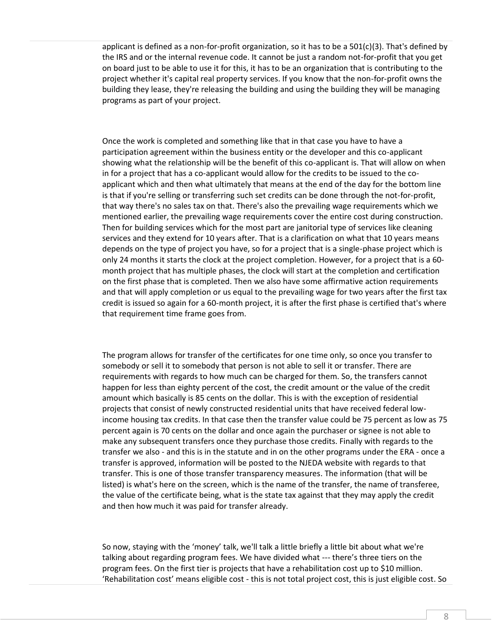applicant is defined as a non-for-profit organization, so it has to be a  $501(c)(3)$ . That's defined by the IRS and or the internal revenue code. It cannot be just a random not-for-profit that you get on board just to be able to use it for this, it has to be an organization that is contributing to the project whether it's capital real property services. If you know that the non-for-profit owns the building they lease, they're releasing the building and using the building they will be managing programs as part of your project.

Once the work is completed and something like that in that case you have to have a participation agreement within the business entity or the developer and this co-applicant showing what the relationship will be the benefit of this co-applicant is. That will allow on when in for a project that has a co-applicant would allow for the credits to be issued to the coapplicant which and then what ultimately that means at the end of the day for the bottom line is that if you're selling or transferring such set credits can be done through the not-for-profit, that way there's no sales tax on that. There's also the prevailing wage requirements which we mentioned earlier, the prevailing wage requirements cover the entire cost during construction. Then for building services which for the most part are janitorial type of services like cleaning services and they extend for 10 years after. That is a clarification on what that 10 years means depends on the type of project you have, so for a project that is a single-phase project which is only 24 months it starts the clock at the project completion. However, for a project that is a 60 month project that has multiple phases, the clock will start at the completion and certification on the first phase that is completed. Then we also have some affirmative action requirements and that will apply completion or us equal to the prevailing wage for two years after the first tax credit is issued so again for a 60-month project, it is after the first phase is certified that's where that requirement time frame goes from.

The program allows for transfer of the certificates for one time only, so once you transfer to somebody or sell it to somebody that person is not able to sell it or transfer. There are requirements with regards to how much can be charged for them. So, the transfers cannot happen for less than eighty percent of the cost, the credit amount or the value of the credit amount which basically is 85 cents on the dollar. This is with the exception of residential projects that consist of newly constructed residential units that have received federal lowincome housing tax credits. In that case then the transfer value could be 75 percent as low as 75 percent again is 70 cents on the dollar and once again the purchaser or signee is not able to make any subsequent transfers once they purchase those credits. Finally with regards to the transfer we also - and this is in the statute and in on the other programs under the ERA - once a transfer is approved, information will be posted to the NJEDA website with regards to that transfer. This is one of those transfer transparency measures. The information (that will be listed) is what's here on the screen, which is the name of the transfer, the name of transferee, the value of the certificate being, what is the state tax against that they may apply the credit and then how much it was paid for transfer already.

So now, staying with the 'money' talk, we'll talk a little briefly a little bit about what we're talking about regarding program fees. We have divided what --- there's three tiers on the program fees. On the first tier is projects that have a rehabilitation cost up to \$10 million. 'Rehabilitation cost' means eligible cost - this is not total project cost, this is just eligible cost. So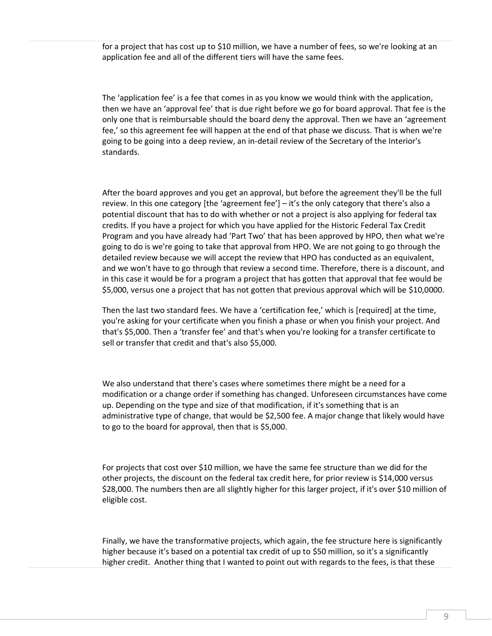for a project that has cost up to \$10 million, we have a number of fees, so we're looking at an application fee and all of the different tiers will have the same fees.

The 'application fee' is a fee that comes in as you know we would think with the application, then we have an 'approval fee' that is due right before we go for board approval. That fee is the only one that is reimbursable should the board deny the approval. Then we have an 'agreement fee,' so this agreement fee will happen at the end of that phase we discuss. That is when we're going to be going into a deep review, an in-detail review of the Secretary of the Interior's standards.

After the board approves and you get an approval, but before the agreement they'll be the full review. In this one category [the 'agreement fee'] – it's the only category that there's also a potential discount that has to do with whether or not a project is also applying for federal tax credits. If you have a project for which you have applied for the Historic Federal Tax Credit Program and you have already had 'Part Two' that has been approved by HPO, then what we're going to do is we're going to take that approval from HPO. We are not going to go through the detailed review because we will accept the review that HPO has conducted as an equivalent, and we won't have to go through that review a second time. Therefore, there is a discount, and in this case it would be for a program a project that has gotten that approval that fee would be \$5,000, versus one a project that has not gotten that previous approval which will be \$10,0000.

Then the last two standard fees. We have a 'certification fee,' which is [required] at the time, you're asking for your certificate when you finish a phase or when you finish your project. And that's \$5,000. Then a 'transfer fee' and that's when you're looking for a transfer certificate to sell or transfer that credit and that's also \$5,000.

We also understand that there's cases where sometimes there might be a need for a modification or a change order if something has changed. Unforeseen circumstances have come up. Depending on the type and size of that modification, if it's something that is an administrative type of change, that would be \$2,500 fee. A major change that likely would have to go to the board for approval, then that is \$5,000.

For projects that cost over \$10 million, we have the same fee structure than we did for the other projects, the discount on the federal tax credit here, for prior review is \$14,000 versus \$28,000. The numbers then are all slightly higher for this larger project, if it's over \$10 million of eligible cost.

Finally, we have the transformative projects, which again, the fee structure here is significantly higher because it's based on a potential tax credit of up to \$50 million, so it's a significantly higher credit. Another thing that I wanted to point out with regards to the fees, is that these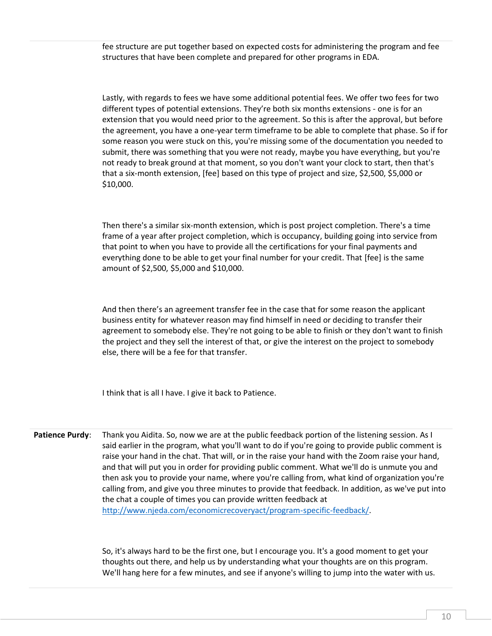fee structure are put together based on expected costs for administering the program and fee structures that have been complete and prepared for other programs in EDA.

Lastly, with regards to fees we have some additional potential fees. We offer two fees for two different types of potential extensions. They're both six months extensions - one is for an extension that you would need prior to the agreement. So this is after the approval, but before the agreement, you have a one-year term timeframe to be able to complete that phase. So if for some reason you were stuck on this, you're missing some of the documentation you needed to submit, there was something that you were not ready, maybe you have everything, but you're not ready to break ground at that moment, so you don't want your clock to start, then that's that a six-month extension, [fee] based on this type of project and size, \$2,500, \$5,000 or \$10,000.

Then there's a similar six-month extension, which is post project completion. There's a time frame of a year after project completion, which is occupancy, building going into service from that point to when you have to provide all the certifications for your final payments and everything done to be able to get your final number for your credit. That [fee] is the same amount of \$2,500, \$5,000 and \$10,000.

And then there's an agreement transfer fee in the case that for some reason the applicant business entity for whatever reason may find himself in need or deciding to transfer their agreement to somebody else. They're not going to be able to finish or they don't want to finish the project and they sell the interest of that, or give the interest on the project to somebody else, there will be a fee for that transfer.

I think that is all I have. I give it back to Patience.

**Patience Purdy**: Thank you Aidita. So, now we are at the public feedback portion of the listening session. As I said earlier in the program, what you'll want to do if you're going to provide public comment is raise your hand in the chat. That will, or in the raise your hand with the Zoom raise your hand, and that will put you in order for providing public comment. What we'll do is unmute you and then ask you to provide your name, where you're calling from, what kind of organization you're calling from, and give you three minutes to provide that feedback. In addition, as we've put into the chat a couple of times you can provide written feedback at [http://www.njeda.com/economicrecoveryact/program-specific-feedback/.](http://www.njeda.com/economicrecoveryact/program-specific-feedback/)

> So, it's always hard to be the first one, but I encourage you. It's a good moment to get your thoughts out there, and help us by understanding what your thoughts are on this program. We'll hang here for a few minutes, and see if anyone's willing to jump into the water with us.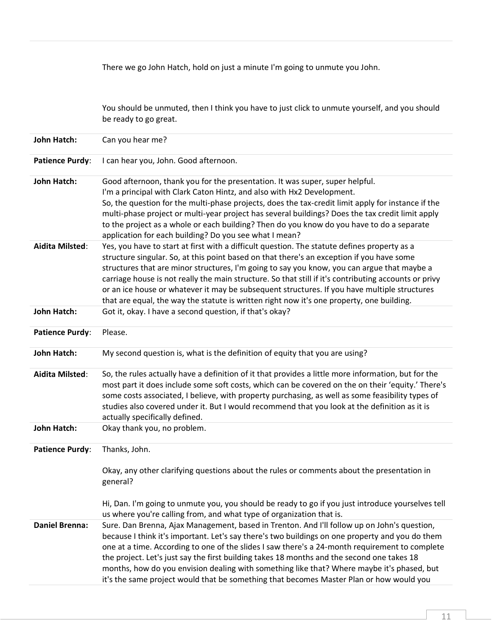|                        | There we go John Hatch, hold on just a minute I'm going to unmute you John.                                                                                                               |
|------------------------|-------------------------------------------------------------------------------------------------------------------------------------------------------------------------------------------|
|                        |                                                                                                                                                                                           |
|                        |                                                                                                                                                                                           |
|                        | You should be unmuted, then I think you have to just click to unmute yourself, and you should<br>be ready to go great.                                                                    |
|                        |                                                                                                                                                                                           |
| John Hatch:            | Can you hear me?                                                                                                                                                                          |
| <b>Patience Purdy:</b> | I can hear you, John. Good afternoon.                                                                                                                                                     |
| <b>John Hatch:</b>     | Good afternoon, thank you for the presentation. It was super, super helpful.                                                                                                              |
|                        | I'm a principal with Clark Caton Hintz, and also with Hx2 Development.                                                                                                                    |
|                        | So, the question for the multi-phase projects, does the tax-credit limit apply for instance if the                                                                                        |
|                        | multi-phase project or multi-year project has several buildings? Does the tax credit limit apply                                                                                          |
|                        | to the project as a whole or each building? Then do you know do you have to do a separate                                                                                                 |
|                        | application for each building? Do you see what I mean?                                                                                                                                    |
| <b>Aidita Milsted:</b> | Yes, you have to start at first with a difficult question. The statute defines property as a<br>structure singular. So, at this point based on that there's an exception if you have some |
|                        | structures that are minor structures, I'm going to say you know, you can argue that maybe a                                                                                               |
|                        | carriage house is not really the main structure. So that still if it's contributing accounts or privy                                                                                     |
|                        | or an ice house or whatever it may be subsequent structures. If you have multiple structures                                                                                              |
|                        | that are equal, the way the statute is written right now it's one property, one building.                                                                                                 |
| <b>John Hatch:</b>     | Got it, okay. I have a second question, if that's okay?                                                                                                                                   |
|                        |                                                                                                                                                                                           |
| <b>Patience Purdy:</b> | Please.                                                                                                                                                                                   |
| <b>John Hatch:</b>     | My second question is, what is the definition of equity that you are using?                                                                                                               |
|                        |                                                                                                                                                                                           |
| <b>Aidita Milsted:</b> | So, the rules actually have a definition of it that provides a little more information, but for the                                                                                       |
|                        | most part it does include some soft costs, which can be covered on the on their 'equity.' There's                                                                                         |
|                        | some costs associated, I believe, with property purchasing, as well as some feasibility types of                                                                                          |
|                        | studies also covered under it. But I would recommend that you look at the definition as it is                                                                                             |
|                        | actually specifically defined.                                                                                                                                                            |
| <b>John Hatch:</b>     | Okay thank you, no problem.                                                                                                                                                               |
| <b>Patience Purdy:</b> | Thanks, John.                                                                                                                                                                             |
|                        | Okay, any other clarifying questions about the rules or comments about the presentation in                                                                                                |
|                        | general?                                                                                                                                                                                  |
|                        |                                                                                                                                                                                           |
|                        | Hi, Dan. I'm going to unmute you, you should be ready to go if you just introduce yourselves tell                                                                                         |
|                        | us where you're calling from, and what type of organization that is.                                                                                                                      |
| <b>Daniel Brenna:</b>  | Sure. Dan Brenna, Ajax Management, based in Trenton. And I'll follow up on John's question,                                                                                               |
|                        | because I think it's important. Let's say there's two buildings on one property and you do them                                                                                           |
|                        | one at a time. According to one of the slides I saw there's a 24-month requirement to complete                                                                                            |
|                        | the project. Let's just say the first building takes 18 months and the second one takes 18                                                                                                |
|                        | months, how do you envision dealing with something like that? Where maybe it's phased, but<br>it's the same project would that be something that becomes Master Plan or how would you     |
|                        |                                                                                                                                                                                           |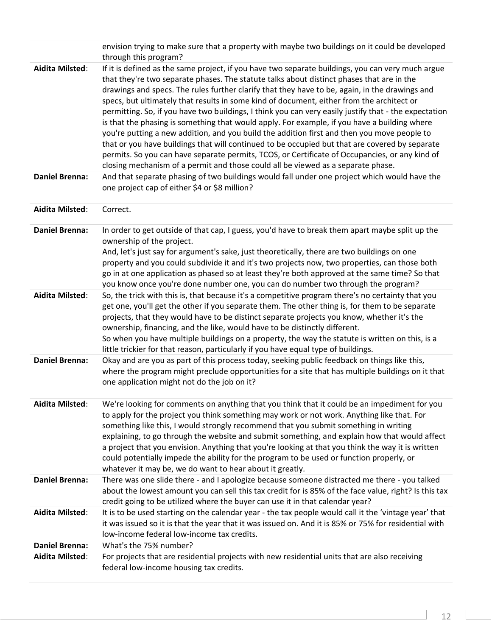|                                                 | envision trying to make sure that a property with maybe two buildings on it could be developed<br>through this program?                                                                                                                                                                                                                                                                                                                                                                                                                                                                                                                                                                                                                                                                                                                                                                                                                                                                                                                                                                       |
|-------------------------------------------------|-----------------------------------------------------------------------------------------------------------------------------------------------------------------------------------------------------------------------------------------------------------------------------------------------------------------------------------------------------------------------------------------------------------------------------------------------------------------------------------------------------------------------------------------------------------------------------------------------------------------------------------------------------------------------------------------------------------------------------------------------------------------------------------------------------------------------------------------------------------------------------------------------------------------------------------------------------------------------------------------------------------------------------------------------------------------------------------------------|
| <b>Aidita Milsted:</b><br><b>Daniel Brenna:</b> | If it is defined as the same project, if you have two separate buildings, you can very much argue<br>that they're two separate phases. The statute talks about distinct phases that are in the<br>drawings and specs. The rules further clarify that they have to be, again, in the drawings and<br>specs, but ultimately that results in some kind of document, either from the architect or<br>permitting. So, if you have two buildings, I think you can very easily justify that - the expectation<br>is that the phasing is something that would apply. For example, if you have a building where<br>you're putting a new addition, and you build the addition first and then you move people to<br>that or you have buildings that will continued to be occupied but that are covered by separate<br>permits. So you can have separate permits, TCOS, or Certificate of Occupancies, or any kind of<br>closing mechanism of a permit and those could all be viewed as a separate phase.<br>And that separate phasing of two buildings would fall under one project which would have the |
|                                                 | one project cap of either \$4 or \$8 million?                                                                                                                                                                                                                                                                                                                                                                                                                                                                                                                                                                                                                                                                                                                                                                                                                                                                                                                                                                                                                                                 |
| <b>Aidita Milsted:</b>                          | Correct.                                                                                                                                                                                                                                                                                                                                                                                                                                                                                                                                                                                                                                                                                                                                                                                                                                                                                                                                                                                                                                                                                      |
| <b>Daniel Brenna:</b>                           | In order to get outside of that cap, I guess, you'd have to break them apart maybe split up the<br>ownership of the project.<br>And, let's just say for argument's sake, just theoretically, there are two buildings on one<br>property and you could subdivide it and it's two projects now, two properties, can those both<br>go in at one application as phased so at least they're both approved at the same time? So that<br>you know once you're done number one, you can do number two through the program?                                                                                                                                                                                                                                                                                                                                                                                                                                                                                                                                                                            |
| <b>Aidita Milsted:</b>                          | So, the trick with this is, that because it's a competitive program there's no certainty that you<br>get one, you'll get the other if you separate them. The other thing is, for them to be separate<br>projects, that they would have to be distinct separate projects you know, whether it's the<br>ownership, financing, and the like, would have to be distinctly different.<br>So when you have multiple buildings on a property, the way the statute is written on this, is a<br>little trickier for that reason, particularly if you have equal type of buildings.                                                                                                                                                                                                                                                                                                                                                                                                                                                                                                                     |
| <b>Daniel Brenna:</b>                           | Okay and are you as part of this process today, seeking public feedback on things like this,<br>where the program might preclude opportunities for a site that has multiple buildings on it that<br>one application might not do the job on it?                                                                                                                                                                                                                                                                                                                                                                                                                                                                                                                                                                                                                                                                                                                                                                                                                                               |
| <b>Aidita Milsted:</b>                          | We're looking for comments on anything that you think that it could be an impediment for you<br>to apply for the project you think something may work or not work. Anything like that. For<br>something like this, I would strongly recommend that you submit something in writing<br>explaining, to go through the website and submit something, and explain how that would affect<br>a project that you envision. Anything that you're looking at that you think the way it is written<br>could potentially impede the ability for the program to be used or function properly, or<br>whatever it may be, we do want to hear about it greatly.                                                                                                                                                                                                                                                                                                                                                                                                                                              |
| <b>Daniel Brenna:</b>                           | There was one slide there - and I apologize because someone distracted me there - you talked<br>about the lowest amount you can sell this tax credit for is 85% of the face value, right? Is this tax<br>credit going to be utilized where the buyer can use it in that calendar year?                                                                                                                                                                                                                                                                                                                                                                                                                                                                                                                                                                                                                                                                                                                                                                                                        |
| <b>Aidita Milsted:</b>                          | It is to be used starting on the calendar year - the tax people would call it the 'vintage year' that<br>it was issued so it is that the year that it was issued on. And it is 85% or 75% for residential with<br>low-income federal low-income tax credits.                                                                                                                                                                                                                                                                                                                                                                                                                                                                                                                                                                                                                                                                                                                                                                                                                                  |
| <b>Daniel Brenna:</b>                           | What's the 75% number?                                                                                                                                                                                                                                                                                                                                                                                                                                                                                                                                                                                                                                                                                                                                                                                                                                                                                                                                                                                                                                                                        |
| <b>Aidita Milsted:</b>                          | For projects that are residential projects with new residential units that are also receiving<br>federal low-income housing tax credits.                                                                                                                                                                                                                                                                                                                                                                                                                                                                                                                                                                                                                                                                                                                                                                                                                                                                                                                                                      |